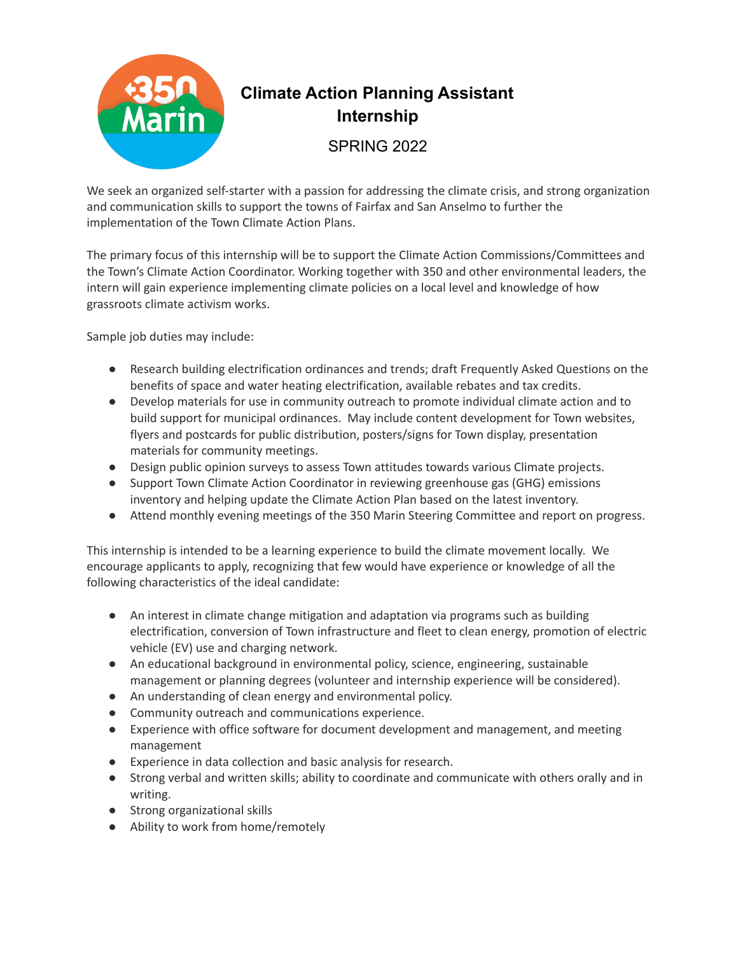

## **Climate Action Planning Assistant Internship**

SPRING 2022

We seek an organized self-starter with a passion for addressing the climate crisis, and strong organization and communication skills to support the towns of Fairfax and San Anselmo to further the implementation of the Town Climate Action Plans.

The primary focus of this internship will be to support the Climate Action Commissions/Committees and the Town's Climate Action Coordinator. Working together with 350 and other environmental leaders, the intern will gain experience implementing climate policies on a local level and knowledge of how grassroots climate activism works.

Sample job duties may include:

- Research building electrification ordinances and trends; draft Frequently Asked Questions on the benefits of space and water heating electrification, available rebates and tax credits.
- Develop materials for use in community outreach to promote individual climate action and to build support for municipal ordinances. May include content development for Town websites, flyers and postcards for public distribution, posters/signs for Town display, presentation materials for community meetings.
- Design public opinion surveys to assess Town attitudes towards various Climate projects.
- Support Town Climate Action Coordinator in reviewing greenhouse gas (GHG) emissions inventory and helping update the Climate Action Plan based on the latest inventory.
- Attend monthly evening meetings of the 350 Marin Steering Committee and report on progress.

This internship is intended to be a learning experience to build the climate movement locally. We encourage applicants to apply, recognizing that few would have experience or knowledge of all the following characteristics of the ideal candidate:

- An interest in climate change mitigation and adaptation via programs such as building electrification, conversion of Town infrastructure and fleet to clean energy, promotion of electric vehicle (EV) use and charging network.
- An educational background in environmental policy, science, engineering, sustainable management or planning degrees (volunteer and internship experience will be considered).
- An understanding of clean energy and environmental policy.
- Community outreach and communications experience.
- Experience with office software for document development and management, and meeting management
- Experience in data collection and basic analysis for research.
- Strong verbal and written skills; ability to coordinate and communicate with others orally and in writing.
- Strong organizational skills
- Ability to work from home/remotely